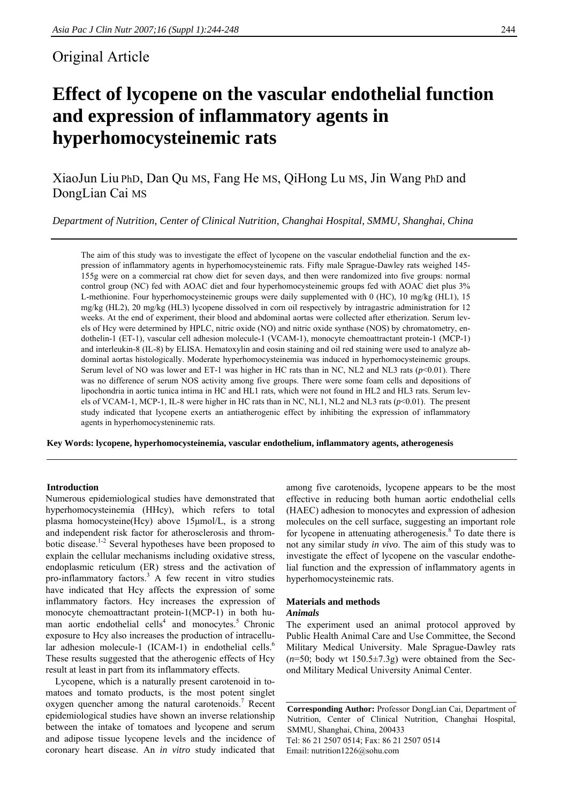# Original Article

# **Effect of lycopene on the vascular endothelial function and expression of inflammatory agents in hyperhomocysteinemic rats**

XiaoJun Liu PhD, Dan Qu MS, Fang He MS, QiHong Lu MS, Jin Wang PhD and DongLian Cai MS

*Department of Nutrition, Center of Clinical Nutrition, Changhai Hospital, SMMU, Shanghai, China* 

The aim of this study was to investigate the effect of lycopene on the vascular endothelial function and the expression of inflammatory agents in hyperhomocysteinemic rats. Fifty male Sprague-Dawley rats weighed 145- 155g were on a commercial rat chow diet for seven days, and then were randomized into five groups: normal control group (NC) fed with AOAC diet and four hyperhomocysteinemic groups fed with AOAC diet plus 3% L-methionine. Four hyperhomocysteinemic groups were daily supplemented with 0 (HC), 10 mg/kg (HL1), 15 mg/kg (HL2), 20 mg/kg (HL3) lycopene dissolved in corn oil respectively by intragastric administration for 12 weeks. At the end of experiment, their blood and abdominal aortas were collected after etherization. Serum levels of Hcy were determined by HPLC, nitric oxide (NO) and nitric oxide synthase (NOS) by chromatometry, endothelin-1 (ET-1), vascular cell adhesion molecule-1 (VCAM-1), monocyte chemoattractant protein-1 (MCP-1) and interleukin-8 (IL-8) by ELISA. Hematoxylin and eosin staining and oil red staining were used to analyze abdominal aortas histologically. Moderate hyperhomocysteinemia was induced in hyperhomocysteinemic groups. Serum level of NO was lower and ET-1 was higher in HC rats than in NC, NL2 and NL3 rats (*p*<0.01). There was no difference of serum NOS activity among five groups. There were some foam cells and depositions of lipochondria in aortic tunica intima in HC and HL1 rats, which were not found in HL2 and HL3 rats. Serum levels of VCAM-1, MCP-1, IL-8 were higher in HC rats than in NC, NL1, NL2 and NL3 rats (*p*<0.01). The present study indicated that lycopene exerts an antiatherogenic effect by inhibiting the expression of inflammatory agents in hyperhomocysteninemic rats.

**Key Words: lycopene, hyperhomocysteinemia, vascular endothelium, inflammatory agents, atherogenesis** 

### **Introduction**

Numerous epidemiological studies have demonstrated that hyperhomocysteinemia (HHcy), which refers to total plasma homocysteine(Hcy) above 15μmol/L, is a strong and independent risk factor for atherosclerosis and thrombotic disease.1-2 Several hypotheses have been proposed to explain the cellular mechanisms including oxidative stress, endoplasmic reticulum (ER) stress and the activation of pro-inflammatory factors.<sup>3</sup> A few recent in vitro studies have indicated that Hcy affects the expression of some inflammatory factors. Hcy increases the expression of monocyte chemoattractant protein-1(MCP-1) in both human aortic endothelial cells<sup>4</sup> and monocytes.<sup>5</sup> Chronic exposure to Hcy also increases the production of intracellular adhesion molecule-1 (ICAM-1) in endothelial cells.<sup>6</sup> These results suggested that the atherogenic effects of Hcy result at least in part from its inflammatory effects.

Lycopene, which is a naturally present carotenoid in tomatoes and tomato products, is the most potent singlet oxygen quencher among the natural carotenoids.<sup>7</sup> Recent epidemiological studies have shown an inverse relationship between the intake of tomatoes and lycopene and serum and adipose tissue lycopene levels and the incidence of coronary heart disease. An *in vitro* study indicated that among five carotenoids, lycopene appears to be the most effective in reducing both human aortic endothelial cells (HAEC) adhesion to monocytes and expression of adhesion molecules on the cell surface, suggesting an important role for lycopene in attenuating atherogenesis.<sup>8</sup> To date there is not any similar study *in vivo*. The aim of this study was to investigate the effect of lycopene on the vascular endothelial function and the expression of inflammatory agents in hyperhomocysteinemic rats.

#### **Materials and methods**  *Animals*

The experiment used an animal protocol approved by Public Health Animal Care and Use Committee, the Second Military Medical University. Male Sprague-Dawley rats  $(n=50;$  body wt  $150.5\pm7.3g$ ) were obtained from the Second Military Medical University Animal Center.

**Corresponding Author:** Professor DongLian Cai, Department of Nutrition, Center of Clinical Nutrition, Changhai Hospital, SMMU, Shanghai, China, 200433 Tel: 86 21 2507 0514; Fax: 86 21 2507 0514 Email: nutrition1226@sohu.com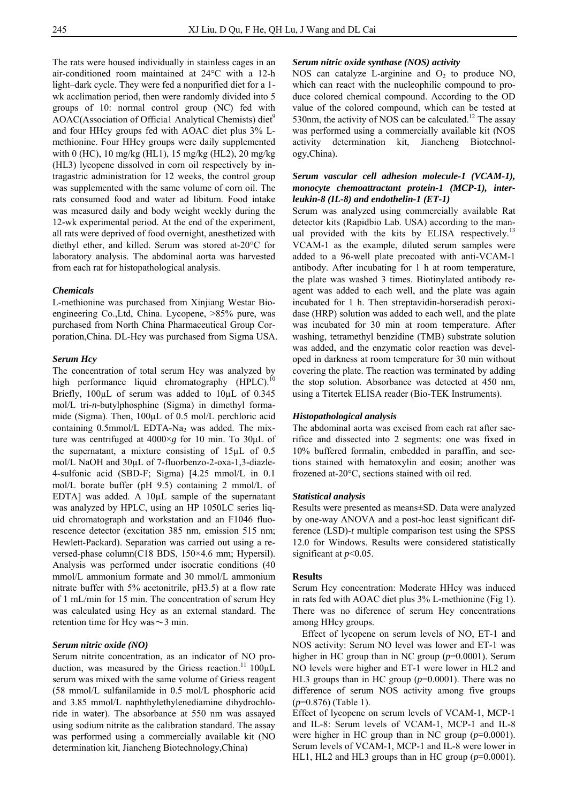The rats were housed individually in stainless cages in an air-conditioned room maintained at 24°C with a 12-h light–dark cycle. They were fed a nonpurified diet for a 1 wk acclimation period, then were randomly divided into 5 groups of 10: normal control group (NC) fed with AOAC(Association of Official Analytical Chemists) diet<sup>9</sup> and four HHcy groups fed with AOAC diet plus 3% Lmethionine. Four HHcy groups were daily supplemented with 0 (HC), 10 mg/kg (HL1), 15 mg/kg (HL2), 20 mg/kg (HL3) lycopene dissolved in corn oil respectively by intragastric administration for 12 weeks, the control group was supplemented with the same volume of corn oil. The rats consumed food and water ad libitum. Food intake was measured daily and body weight weekly during the 12-wk experimental period. At the end of the experiment, all rats were deprived of food overnight, anesthetized with diethyl ether, and killed. Serum was stored at-20°C for laboratory analysis. The abdominal aorta was harvested from each rat for histopathological analysis.

#### *Chemicals*

L-methionine was purchased from Xinjiang Westar Bioengineering Co.,Ltd, China. Lycopene, >85% pure, was purchased from North China Pharmaceutical Group Corporation,China. DL-Hcy was purchased from Sigma USA.

#### *Serum Hcy*

The concentration of total serum Hcy was analyzed by high performance liquid chromatography  $(HPLC)$ .<sup>10</sup> Briefly, 100µL of serum was added to 10µL of 0.345 mol/L tri-*n*-butylphosphine (Sigma) in dimethyl formamide (Sigma). Then, 100µL of 0.5 mol/L perchloric acid containing  $0.5$ mmol/L EDTA-Na<sub>2</sub> was added. The mixture was centrifuged at 4000×*g* for 10 min. To 30μL of the supernatant, a mixture consisting of 15µL of 0.5 mol/L NaOH and 30µL of 7-fluorbenzo-2-oxa-1,3-diazle-4-sulfonic acid (SBD-F; Sigma) [4.25 mmol/L in 0.1 mol/L borate buffer (pH 9.5) containing 2 mmol/L of EDTA] was added. A 10µL sample of the supernatant was analyzed by HPLC, using an HP 1050LC series liquid chromatograph and workstation and an F1046 fluorescence detector (excitation 385 nm, emission 515 nm; Hewlett-Packard). Separation was carried out using a reversed-phase column(C18 BDS, 150×4.6 mm; Hypersil). Analysis was performed under isocratic conditions (40 mmol/L ammonium formate and 30 mmol/L ammonium nitrate buffer with 5% acetonitrile, pH3.5) at a flow rate of 1 mL/min for 15 min. The concentration of serum Hcy was calculated using Hcy as an external standard. The retention time for Hcy was $\sim$ 3 min.

#### *Serum nitric oxide (NO)*

Serum nitrite concentration, as an indicator of NO production, was measured by the Griess reaction.<sup>11</sup>  $100 \mu L$ serum was mixed with the same volume of Griess reagent (58 mmol/L sulfanilamide in 0.5 mol/L phosphoric acid and 3.85 mmol/L naphthylethylenediamine dihydrochloride in water). The absorbance at 550 nm was assayed using sodium nitrite as the calibration standard. The assay was performed using a commercially available kit (NO determination kit, Jiancheng Biotechnology,China)

#### *Serum nitric oxide synthase (NOS) activity*

NOS can catalyze L-arginine and  $O_2$  to produce NO, which can react with the nucleophilic compound to produce colored chemical compound. According to the OD value of the colored compound, which can be tested at 530nm, the activity of NOS can be calculated.<sup>12</sup> The assay was performed using a commercially available kit (NOS activity determination kit, Jiancheng Biotechnology,China).

## *Serum vascular cell adhesion molecule-1 (VCAM-1), monocyte chemoattractant protein-1 (MCP-1), interleukin-8 (IL-8) and endothelin-1 (ET-1)*

Serum was analyzed using commercially available Rat detector kits (Rapidbio Lab. USA) according to the manual provided with the kits by ELISA respectively.<sup>13</sup> VCAM-1 as the example, diluted serum samples were added to a 96-well plate precoated with anti-VCAM-1 antibody. After incubating for 1 h at room temperature, the plate was washed 3 times. Biotinylated antibody reagent was added to each well, and the plate was again incubated for 1 h. Then streptavidin-horseradish peroxidase (HRP) solution was added to each well, and the plate was incubated for 30 min at room temperature. After washing, tetramethyl benzidine (TMB) substrate solution was added, and the enzymatic color reaction was developed in darkness at room temperature for 30 min without covering the plate. The reaction was terminated by adding the stop solution. Absorbance was detected at 450 nm, using a Titertek ELISA reader (Bio-TEK Instruments).

#### *Histopathological analysis*

The abdominal aorta was excised from each rat after sacrifice and dissected into 2 segments: one was fixed in 10% buffered formalin, embedded in paraffin, and sections stained with hematoxylin and eosin; another was frozened at-20°C, sections stained with oil red.

#### *Statistical analysis*

Results were presented as means±SD. Data were analyzed by one-way ANOVA and a post-hoc least significant difference (LSD)-*t* multiple comparison test using the SPSS 12.0 for Windows. Results were considered statistically significant at  $p<0.05$ .

#### **Results**

Serum Hcy concentration: Moderate HHcy was induced in rats fed with AOAC diet plus 3% L-methionine (Fig 1). There was no diference of serum Hcy concentrations among HHcy groups.

Effect of lycopene on serum levels of NO, ET-1 and NOS activity: Serum NO level was lower and ET-1 was higher in HC group than in NC group ( $p=0.0001$ ). Serum NO levels were higher and ET-1 were lower in HL2 and HL3 groups than in HC group ( $p=0.0001$ ). There was no difference of serum NOS activity among five groups (*p*=0.876) (Table 1).

Effect of lycopene on serum levels of VCAM-1, MCP-1 and IL-8: Serum levels of VCAM-1, MCP-1 and IL-8 were higher in HC group than in NC group  $(p=0.0001)$ . Serum levels of VCAM-1, MCP-1 and IL-8 were lower in HL1, HL2 and HL3 groups than in HC group  $(p=0.0001)$ .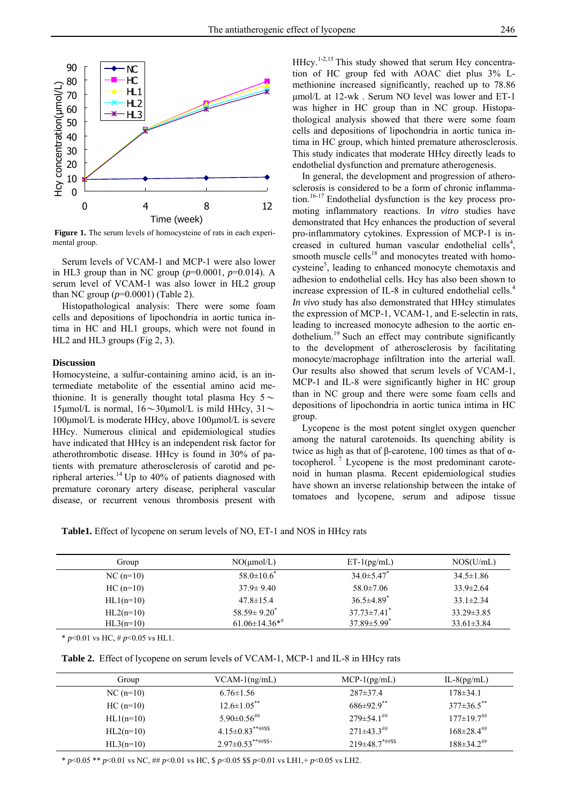

Figure 1. The serum levels of homocysteine of rats in each experimental group.

Serum levels of VCAM-1 and MCP-1 were also lower in HL3 group than in NC group (*p*=0.0001, *p*=0.014). A serum level of VCAM-1 was also lower in HL2 group than NC group (*p*=0.0001) (Table 2).

Histopathological analysis: There were some foam cells and depositions of lipochondria in aortic tunica intima in HC and HL1 groups, which were not found in HL2 and HL3 groups (Fig 2, 3).

#### **Discussion**

Homocysteine, a sulfur-containing amino acid, is an intermediate metabolite of the essential amino acid methionine. It is generally thought total plasma Hcy  $5 \sim$ 15μmol/L is normal,  $16 \sim 30 \mu$ mol/L is mild HHcy,  $31 \sim$ 100μmol/L is moderate HHcy, above 100μmol/L is severe HHcy. Numerous clinical and epidemiological studies have indicated that HHcy is an independent risk factor for atherothrombotic disease. HHcy is found in 30% of patients with premature atherosclerosis of carotid and peripheral arteries.<sup>14</sup> Up to 40% of patients diagnosed with premature coronary artery disease, peripheral vascular disease, or recurrent venous thrombosis present with

 $H$ Hcy.<sup>1-2,15</sup> This study showed that serum Hcy concentration of HC group fed with AOAC diet plus 3% Lmethionine increased significantly, reached up to 78.86 μmol/L at 12-wk . Serum NO level was lower and ET-1 was higher in HC group than in NC group. Histopathological analysis showed that there were some foam cells and depositions of lipochondria in aortic tunica intima in HC group, which hinted premature atherosclerosis. This study indicates that moderate HHcy directly leads to endothelial dysfunction and premature atherogenesis.

In general, the development and progression of atherosclerosis is considered to be a form of chronic inflammation.<sup>16-17</sup> Endothelial dysfunction is the key process promoting inflammatory reactions. I*n vitro* studies have demonstrated that Hcy enhances the production of several pro-inflammatory cytokines. Expression of MCP-1 is increased in cultured human vascular endothelial cells<sup>4</sup>, smooth muscle cells<sup>18</sup> and monocytes treated with homocysteine<sup>5</sup>, leading to enhanced monocyte chemotaxis and adhesion to endothelial cells. Hcy has also been shown to increase expression of IL-8 in cultured endothelial cells.<sup>4</sup> *In vivo* study has also demonstrated that HHcy stimulates the expression of MCP-1, VCAM-1, and E-selectin in rats, leading to increased monocyte adhesion to the aortic endothelium.<sup>19</sup> Such an effect may contribute significantly to the development of atherosclerosis by facilitating monocyte/macrophage infiltration into the arterial wall. Our results also showed that serum levels of VCAM-1, MCP-1 and IL-8 were significantly higher in HC group than in NC group and there were some foam cells and depositions of lipochondria in aortic tunica intima in HC group.

Lycopene is the most potent singlet oxygen quencher among the natural carotenoids. Its quenching ability is twice as high as that of β-carotene, 100 times as that of  $α$ tocopherol. 7 Lycopene is the most predominant carotenoid in human plasma. Recent epidemiological studies have shown an inverse relationship between the intake of tomatoes and lycopene, serum and adipose tissue

**Table1.** Effect of lycopene on serum levels of NO, ET-1 and NOS in HHcy rats

| Group       | $NO(\mu mol/L)$                 | $ET-1(pg/mL)$                 | NOS(U/mL)        |
|-------------|---------------------------------|-------------------------------|------------------|
| $NC(n=10)$  | $58.0 \pm 10.6^*$               | $34.0 \pm 5.47$               | $34.5 \pm 1.86$  |
| $HC(n=10)$  | $37.9 \pm 9.40$                 | $58.0 \pm 7.06$               | $33.9 \pm 2.64$  |
| $HL1(n=10)$ | $47.8 \pm 15.4$                 | $36.5 \pm 4.89$ <sup>*</sup>  | $33.1 \pm 2.34$  |
| $HL2(n=10)$ | $58.59 \pm 9.20^*$              | $37.73 \pm 7.41$ <sup>*</sup> | $33.29 \pm 3.85$ |
| $HL3(n=10)$ | $61.06 \pm 14.36$ <sup>**</sup> | $37.89 \pm 5.99$ <sup>*</sup> | $33.61 \pm 3.84$ |

\* *p*<0.01 vs HC, # *p*<0.05 vs HL1.

|  |  | Table 2. Effect of lycopene on serum levels of VCAM-1, MCP-1 and IL-8 in HHcy rats |  |
|--|--|------------------------------------------------------------------------------------|--|
|  |  |                                                                                    |  |

| Group       | $VCAM-1(ng/mL)$           | $MCP-1(pg/mL)$                  | $IL-8(pg/mL)$               |
|-------------|---------------------------|---------------------------------|-----------------------------|
| $NC(n=10)$  | $6.76 \pm 1.56$           | $287 \pm 37.4$                  | $178 \pm 34.1$              |
| $HC(n=10)$  | $12.6 \pm 1.05$ **        | $686\pm92.9$ <sup>**</sup>      | $377\pm36.5$ **             |
| $HL1(n=10)$ | $5.90\pm0.56$ ##          | $279 \pm 54.1$ <sup>##</sup>    | $177\pm19.7$ <sup>##</sup>  |
| $HL2(n=10)$ | $4.15 \pm 0.83$ **##\$\$  | $271\pm43.3$ <sup>##</sup>      | $168\pm28.4$ <sup>***</sup> |
| $HL3(n=10)$ | $2.97 \pm 0.53$ **##\$\$+ | $219\pm48.7$ <sup>*##\$\$</sup> | $188\pm34.2$ <sup>##</sup>  |

\* *p*<0.05 \*\* *p*<0.01 vs NC, ## *p*<0.01 vs HC, \$ *p*<0.05 \$\$ *p*<0.01 vs LH1,+ *p*<0.05 vs LH2.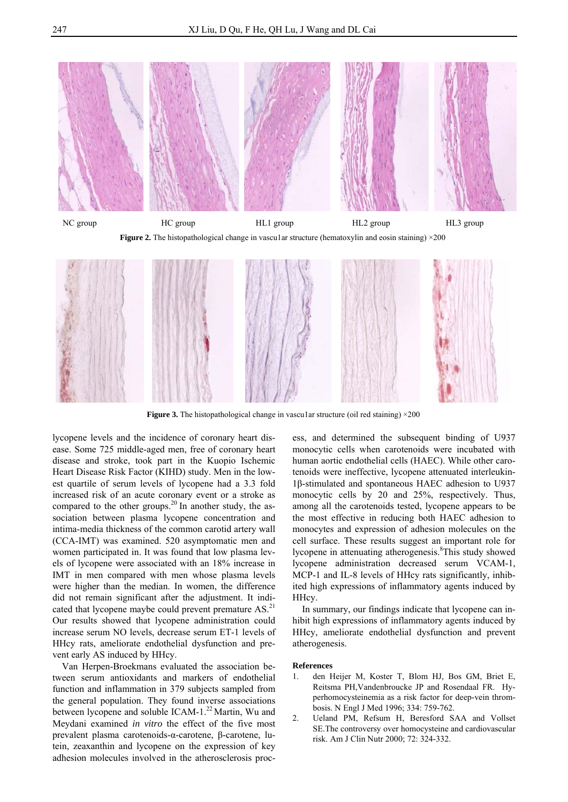

NC group HC group HC group HL1 group HL2 group HL3 group **Figure 2.** The histopathological change in vascular structure (hematoxylin and eosin staining)  $\times$ 200



**Figure 3.** The histopathological change in vascular structure (oil red staining)  $\times$ 200

lycopene levels and the incidence of coronary heart disease. Some 725 middle-aged men, free of coronary heart disease and stroke, took part in the Kuopio Ischemic Heart Disease Risk Factor (KIHD) study. Men in the lowest quartile of serum levels of lycopene had a 3.3 fold increased risk of an acute coronary event or a stroke as compared to the other groups.<sup>20</sup> In another study, the association between plasma lycopene concentration and intima-media thickness of the common carotid artery wall (CCA-IMT) was examined. 520 asymptomatic men and women participated in. It was found that low plasma levels of lycopene were associated with an 18% increase in IMT in men compared with men whose plasma levels were higher than the median. In women, the difference did not remain significant after the adjustment. It indicated that lycopene maybe could prevent premature AS.<sup>21</sup> Our results showed that lycopene administration could increase serum NO levels, decrease serum ET-1 levels of HHcy rats, ameliorate endothelial dysfunction and prevent early AS induced by HHcy.

Van Herpen-Broekmans evaluated the association between serum antioxidants and markers of endothelial function and inflammation in 379 subjects sampled from the general population. They found inverse associations between lycopene and soluble ICAM-1.<sup>22</sup> Martin, Wu and Meydani examined *in vitro* the effect of the five most prevalent plasma carotenoids-α-carotene, β-carotene, lutein, zeaxanthin and lycopene on the expression of key adhesion molecules involved in the atherosclerosis proc-

ess, and determined the subsequent binding of U937 monocytic cells when carotenoids were incubated with human aortic endothelial cells (HAEC). While other carotenoids were ineffective, lycopene attenuated interleukin-1β-stimulated and spontaneous HAEC adhesion to U937 monocytic cells by 20 and 25%, respectively. Thus, among all the carotenoids tested, lycopene appears to be the most effective in reducing both HAEC adhesion to monocytes and expression of adhesion molecules on the cell surface. These results suggest an important role for lycopene in attenuating atherogenesis.<sup>8</sup>This study showed lycopene administration decreased serum VCAM-1, MCP-1 and IL-8 levels of HHcy rats significantly, inhibited high expressions of inflammatory agents induced by HHcy.

In summary, our findings indicate that lycopene can inhibit high expressions of inflammatory agents induced by HHcy, ameliorate endothelial dysfunction and prevent atherogenesis.

#### **References**

- 1. den Heijer M, Koster T, Blom HJ, Bos GM, Briet E, Reitsma PH,Vandenbroucke JP and Rosendaal FR. Hyperhomocysteinemia as a risk factor for deep-vein thrombosis. N Engl J Med 1996; 334: 759-762.
- 2. Ueland PM, Refsum H, Beresford SAA and Vollset SE.The controversy over homocysteine and cardiovascular risk. Am J Clin Nutr 2000; 72: 324-332.